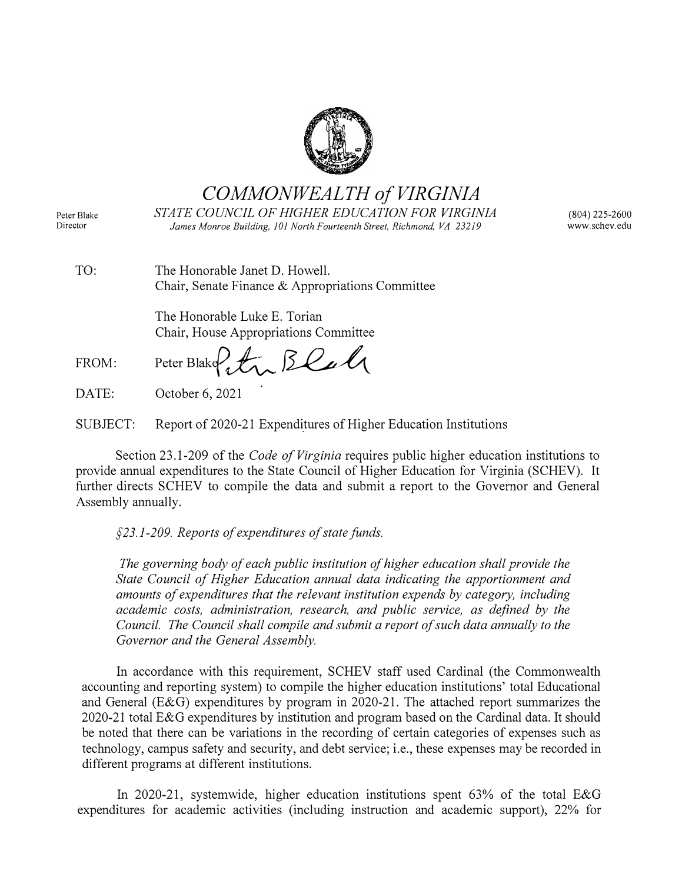

*COMMONWEALTH of VIRGINIA* 

Peter Blake Director

*STATE COUNCIL OF HIGHER EDUCATION FOR VIRGINIA James Monroe Building, JOI North Fourteenth Street, Richmond, VA 23219* 

(804) 225-2600 www.schev.edu

| TO: | The Honorable Janet D. Howell.                   |
|-----|--------------------------------------------------|
|     | Chair, Senate Finance & Appropriations Committee |

The Honorable Luke E. Torian Chair, House Appropriations Committee

FROM: Peter Blake  $f_*$   $\beta$   $\ell$ 

DATE: October 6, 2021

SUBJECT: Report of 2020-21 Expenditures of Higher Education Institutions

Section 23.1-209 of the *Code of Virginia* requires public higher education institutions to provide annual expenditures to the State Council of Higher Education for Virginia (SCHEY). It further directs SCHEY to compile the data and submit a report to the Governor and General Assembly annually.

*§23.1-209. Reports of expenditures of state funds.*

*The governing body of each public institution of higher education shall provide the State Council of Higher Education annual data indicating the apportionment and amounts of expenditures that the relevant institution expends by category, including academic costs, administration, research, and public service, as defined by the Council. The Council shall compile and submit a report of such data annually to the Governor and the General Assembly.* 

In accordance with this requirement, SCHEY staff used Cardinal (the Commonwealth accounting and reporting system) to compile the higher education institutions' total Educational and General (E&G) expenditures by program in 2020-21. The attached report summarizes the 2020-21 total E&G expenditures by institution and program based on the Cardinal data. It should be noted that there can be variations in the recording of certain categories of expenses such as technology, campus safety and security, and debt service; i.e., these expenses may be recorded in different programs at different institutions.

In 2020-21, systemwide, higher education institutions spent 63% of the total E&G expenditures for academic activities (including instruction and academic support), 22% for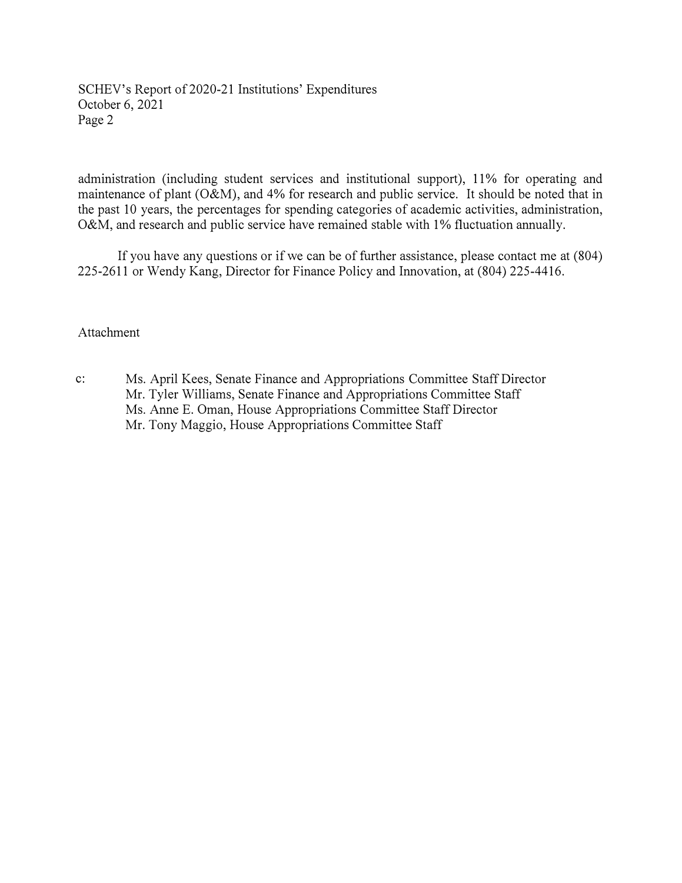SCHEV's Report of 2020-21 Institutions' Expenditures October 6, 2021 Page 2

administration (including student services and institutional support), 11% for operating and maintenance of plant (O&M), and 4% for research and public service. It should be noted that in the past 10 years, the percentages for spending categories of academic activities, administration, O&M, and research and public service have remained stable with 1% fluctuation annually.

If you have any questions or if we can be of further assistance, please contact me at (804) 225-2611 or Wendy Kang, Director for Finance Policy and Innovation, at (804) 225-4416.

## Attachment

c: Ms. April Kees, Senate Finance and Appropriations Committee Staff Director Mr. Tyler Williams, Senate Finance and Appropriations Committee Staff Ms. Anne E. Oman, House Appropriations Committee Staff Director Mr. Tony Maggio, House Appropriations Committee Staff